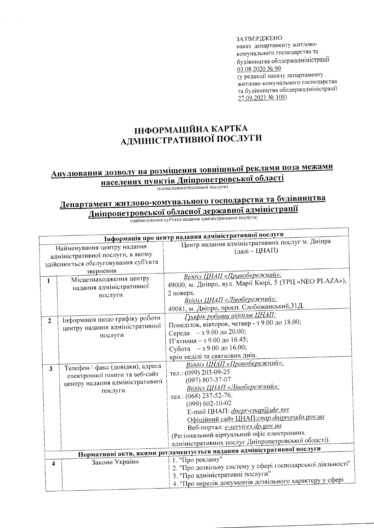ЗАТВЕРДЖЕНО наказ департаменту житловокомунального господарства та будівництва облдержадміністрації 03.08.2020 No 90 (у редакції наказу департаменту житлово-комунального господарства та будівництва облдержадміністрації 27.09.2021 № 109)

## ІНФОРМАЦІЙНА КАРТКА АДМІНІСТРАТИВНОЇ ПОСЛУГИ

## Анулювання дозволу на розміщення зовнішньої реклами поза межами населених пунктів Дніпропетровської області

(назва адміністративної послуги)

## Департамент житлово-комунального господарства та будівництва Дніпропетровської обласної державної адміністрації

(найменування суб'єкта надання адміністративної послуги)

| Інформація про центр надання адміністративної послуги                     |                                  |                                                                         |  |  |
|---------------------------------------------------------------------------|----------------------------------|-------------------------------------------------------------------------|--|--|
|                                                                           |                                  | Центр надання адміністративних послуг м. Дніпра                         |  |  |
| Найменування центру надання                                               |                                  | (далі – ЦНАП)                                                           |  |  |
| адміністративної послуги, в якому<br>здійснюється обслуговування суб'єкта |                                  |                                                                         |  |  |
|                                                                           |                                  |                                                                         |  |  |
|                                                                           | звернення                        | Відділ ЦНАП «Правобережний»:                                            |  |  |
| $\mathbf{1}$                                                              | Місцезнаходження центру          | 49000, м. Дніпро, вул. Марії Кюрі, 5 (ТРЦ «NEO PLAZA»),                 |  |  |
|                                                                           | надання адміністративної         | 2 поверх.                                                               |  |  |
|                                                                           | послуги                          | Відділ ЦНАП «Лівобережний»:                                             |  |  |
|                                                                           |                                  | 49081, м. Дніпро, просп. Слобожанський, 31Д.                            |  |  |
|                                                                           |                                  | Графік роботи відділів ЦНАП:                                            |  |  |
| $\overline{2}$                                                            | Інформація щодо графіку роботи   | Понеділок, вівторок, четвер - з 9.00 до 18.00;                          |  |  |
|                                                                           | центру надання адміністративної  | Середа - з 9.00 до 20.00;                                               |  |  |
|                                                                           | послуги                          | П'ятниця - з 9.00 до 16.45;                                             |  |  |
|                                                                           |                                  | Субота - з 9.00 до 16.00;                                               |  |  |
|                                                                           |                                  | крім неділі та святкових днів.                                          |  |  |
|                                                                           |                                  | Відділ ЦНАП «Правобережний»:                                            |  |  |
| $\overline{3}$                                                            | Телефон \ факс (довідки), адреса | тел.: (099) 203-09-25                                                   |  |  |
|                                                                           | електронної пошти та веб-сайт    | $(097)$ 807-37-07                                                       |  |  |
|                                                                           | центру надання адміністративної  | Відділ ЦНАП «Лівобережний»:                                             |  |  |
|                                                                           | послуги                          | тел.: (068) 237-52-76,                                                  |  |  |
|                                                                           |                                  | $(099) 602 - 10 - 02$                                                   |  |  |
|                                                                           |                                  | E-mail ЦНАП: <i>dnepr-cnap@ukr.net</i>                                  |  |  |
|                                                                           |                                  | Офіційний сайт ЦНАП: cnap.dniprorada.gov.ua                             |  |  |
|                                                                           |                                  | Веб-портал: e-services.dp.gov.ua                                        |  |  |
|                                                                           |                                  | (Регіональний віртуальний офіс електронних                              |  |  |
|                                                                           |                                  | адміністративних послуг Дніпропетровської області).                     |  |  |
|                                                                           |                                  | Нормативні акти, якими регламентується надання адміністративної послуги |  |  |
|                                                                           | Закони України                   | 1. "Про рекламу"                                                        |  |  |
| $\overline{\mathbf{4}}$                                                   |                                  | 2. "Про дозвільну систему у сфері господарської діяльності"             |  |  |
|                                                                           |                                  | 3. "Про адміністративні послуги"                                        |  |  |
|                                                                           |                                  | 4. "Про перелік документів дозвільного характеру у сфері                |  |  |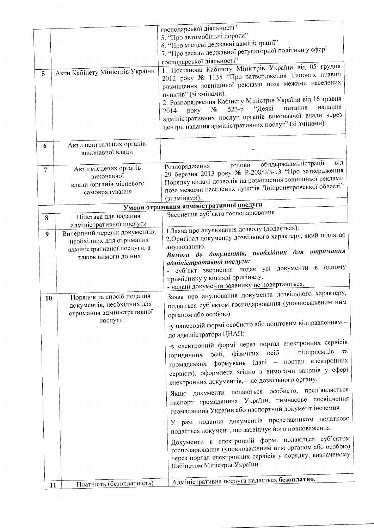| 5 <sup>5</sup> | Акти Кабінету Міністрів України                                                                                                             | господарської діяльності"<br>5. "Про автомобільні дороги"<br>6. "Про місцеві державні адміністрації"<br>7. "Про засади державної регуляторної політики у сфері<br>господарської діяльності".<br>1. Постанова Кабінету Міністрів України від 05 грудня<br>2012 року № 1135 "Про затвердження Типових правил<br>розміщення зовнішньої реклами поза межами населених<br>пунктів" (зі змінами).<br>2. Розпорядження Кабінету Міністрів України від 16 травня<br>надання<br>питання<br>"Деякі<br>$523-p$<br>$N_2$<br>2014<br>року                                                                                                                                                                                                                                                                                                                                                                                                                                                                                                                          |
|----------------|---------------------------------------------------------------------------------------------------------------------------------------------|-------------------------------------------------------------------------------------------------------------------------------------------------------------------------------------------------------------------------------------------------------------------------------------------------------------------------------------------------------------------------------------------------------------------------------------------------------------------------------------------------------------------------------------------------------------------------------------------------------------------------------------------------------------------------------------------------------------------------------------------------------------------------------------------------------------------------------------------------------------------------------------------------------------------------------------------------------------------------------------------------------------------------------------------------------|
|                |                                                                                                                                             | адміністративних послуг органів виконавчої влади через<br>центри надання адміністративних послуг" (зі змінами).                                                                                                                                                                                                                                                                                                                                                                                                                                                                                                                                                                                                                                                                                                                                                                                                                                                                                                                                       |
| 6              | Акти центральних органів<br>виконавчої влади                                                                                                | облдержадміністрації<br>від                                                                                                                                                                                                                                                                                                                                                                                                                                                                                                                                                                                                                                                                                                                                                                                                                                                                                                                                                                                                                           |
| $\overline{7}$ | Акти місцевих органів<br>виконавчої<br>влади /органів місцевого<br>самоврядування                                                           | голови<br>Розпорядження<br>29 березня 2013 року № Р-208/0/3-13 "Про затвердження<br>Порядку видачі дозволів на розміщення зовнішньої реклами<br>поза межами населених пунктів Дніпропетровської області"<br>(зі змінами).                                                                                                                                                                                                                                                                                                                                                                                                                                                                                                                                                                                                                                                                                                                                                                                                                             |
|                |                                                                                                                                             | Умови отримання адміністративної послуги                                                                                                                                                                                                                                                                                                                                                                                                                                                                                                                                                                                                                                                                                                                                                                                                                                                                                                                                                                                                              |
| 8              | Підстава для надання                                                                                                                        | Звернення суб'єкта господарювання                                                                                                                                                                                                                                                                                                                                                                                                                                                                                                                                                                                                                                                                                                                                                                                                                                                                                                                                                                                                                     |
| 9              | адміністративної послуги<br>Вичерпний перелік документів,<br>необхідних для отримання<br>адміністративної послуги, а<br>також вимоги до них | 1. Заява про анулювання дозволу (додається).<br>2. Оригінал документу дозвільного характеру, який підлягає<br>анулюванню.<br>Вимоги до документів, необхідних для отримання<br>адміністративної послуги:<br>одному<br>- суб'єкт звернення подає усі документи в<br>примірнику у вигляді оригіналу.<br>- надані документи заявнику не повертаються.                                                                                                                                                                                                                                                                                                                                                                                                                                                                                                                                                                                                                                                                                                    |
| 10             | Порядок та спосіб подання<br>документів, необхідних для<br>отримання адміністративної<br>послуги                                            | Заява про анулювання документа дозвільного характеру,<br>подається суб'єктом господарювання (уповноваженим ним<br>органом або особою)<br>-у паперовій формі особисто або поштовим відправленням -<br>до адміністратора ЦНАП;<br>-в електронній формі через портал електронних сервісів<br>юридичних осіб, фізичних осіб - підприємців та<br>громадських формувань (далі - портал електронних<br>сервісів), оформлена згідно з вимогами законів у сфері<br>електронних документів, - до дозвільного органу.<br>Якщо документи подаються особисто, пред'являється<br>паспорт громадянина України, тимчасове посвідчення<br>громадянина України або паспортний документ іноземця.<br>У разі подання документів представником додатково<br>подається документ, що засвідчує його повноваження.<br>Документи в електронній формі подаються суб'єктом<br>господарювання (уповноваженим ним органом або особою)<br>через портал електронних сервісів у порядку, визначеному<br>Кабінетом Міністрів України.<br>Адміністративна послуга надається безоплатно. |
|                | Платність (безоплатність)<br>11                                                                                                             |                                                                                                                                                                                                                                                                                                                                                                                                                                                                                                                                                                                                                                                                                                                                                                                                                                                                                                                                                                                                                                                       |